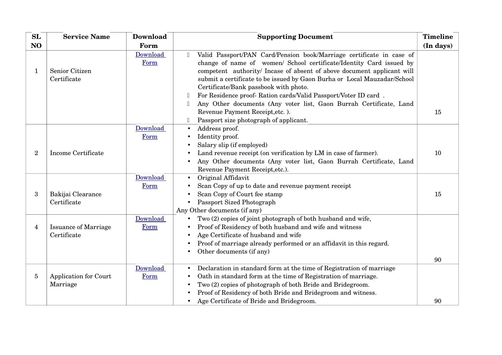| SL             | <b>Service Name</b>                        | <b>Download</b>  | <b>Supporting Document</b>                                                                                                                                                                                                                                                                                                                                                                                                                                                                                                                                                                 | Timeline  |
|----------------|--------------------------------------------|------------------|--------------------------------------------------------------------------------------------------------------------------------------------------------------------------------------------------------------------------------------------------------------------------------------------------------------------------------------------------------------------------------------------------------------------------------------------------------------------------------------------------------------------------------------------------------------------------------------------|-----------|
| N <sub>O</sub> |                                            | Form             |                                                                                                                                                                                                                                                                                                                                                                                                                                                                                                                                                                                            | (In days) |
| 1              | Senior Citizen<br>Certificate              | Download<br>Form | Valid Passport/PAN Card/Pension book/Marriage certificate in case of<br>$\begin{array}{c} \square \end{array}$<br>change of name of women/ School certificate/Identity Card issued by<br>competent authority/ Incase of absent of above document applicant will<br>submit a certificate to be issued by Gaon Burha or Local Mauzadar/School<br>Certificate/Bank passbook with photo.<br>For Residence proof- Ration cards/Valid Passport/Voter ID card.<br>$\mathbb{L}$<br>Any Other documents (Any voter list, Gaon Burrah Certificate, Land<br>$\Box$<br>Revenue Payment Receipt, etc.). | 15        |
|                |                                            |                  | Passport size photograph of applicant.                                                                                                                                                                                                                                                                                                                                                                                                                                                                                                                                                     |           |
| $\overline{2}$ | Income Certificate                         | Download<br>Form | Address proof.<br>Identity proof.<br>Salary slip (if employed)<br>Land revenue receipt (on verification by LM in case of farmer).<br>Any Other documents (Any voter list, Gaon Burrah Certificate, Land<br>Revenue Payment Receipt, etc.).                                                                                                                                                                                                                                                                                                                                                 | 10        |
| 3              | Bakijai Clearance<br>Certificate           | Download<br>Form | Original Affidavit<br>Scan Copy of up to date and revenue payment receipt<br>Scan Copy of Court fee stamp<br>Passport Sized Photograph<br>Any Other documents (if any)                                                                                                                                                                                                                                                                                                                                                                                                                     | 15        |
| 4              | <b>Issuance of Marriage</b><br>Certificate | Download<br>Form | Two (2) copies of joint photograph of both husband and wife,<br>Proof of Residency of both husband and wife and witness<br>Age Certificate of husband and wife<br>Proof of marriage already performed or an affidavit in this regard.<br>Other documents (if any)                                                                                                                                                                                                                                                                                                                          | 90        |
| $\overline{5}$ | Application for Court<br>Marriage          | Download<br>Form | Declaration in standard form at the time of Registration of marriage<br>Oath in standard form at the time of Registration of marriage.<br>Two (2) copies of photograph of both Bride and Bridegroom.<br>Proof of Residency of both Bride and Bridegroom and witness.<br>Age Certificate of Bride and Bridegroom.                                                                                                                                                                                                                                                                           | 90        |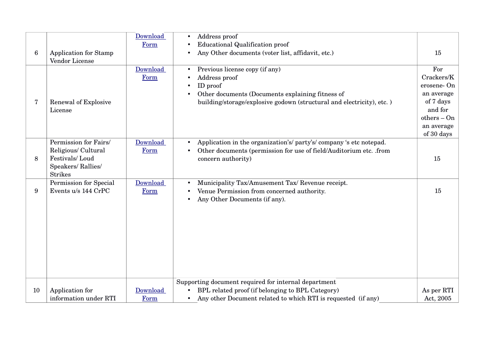|    |                                                                                                       | Download<br>Form | Address proof<br><b>Educational Qualification proof</b>                                                                                                                                  |                                                                                                                    |
|----|-------------------------------------------------------------------------------------------------------|------------------|------------------------------------------------------------------------------------------------------------------------------------------------------------------------------------------|--------------------------------------------------------------------------------------------------------------------|
| 6  | <b>Application for Stamp</b><br><b>Vendor License</b>                                                 |                  | Any Other documents (voter list, affidavit, etc.)                                                                                                                                        | 15                                                                                                                 |
| 7  | Renewal of Explosive<br>License                                                                       | Download<br>Form | Previous license copy (if any)<br>Address proof<br>ID proof<br>Other documents (Documents explaining fitness of<br>building/storage/explosive godown (structural and electricity), etc.) | For<br>Crackers/K<br>erosene-On<br>an average<br>of 7 days<br>and for<br>$others - On$<br>an average<br>of 30 days |
| 8  | Permission for Fairs/<br>Religious/ Cultural<br>Festivals/Loud<br>Speakers/Rallies/<br><b>Strikes</b> | Download<br>Form | Application in the organization's/party's/company's etc notepad.<br>Other documents (permission for use of field/Auditorium etc. .from<br>concern authority)                             | 15                                                                                                                 |
| 9  | Permission for Special<br>Events u/s 144 CrPC                                                         | Download<br>Form | Municipality Tax/Amusement Tax/ Revenue receipt.<br>Venue Permission from concerned authority.<br>Any Other Documents (if any).<br>$\bullet$                                             | 15                                                                                                                 |
| 10 | Application for                                                                                       | Download         | Supporting document required for internal department<br>BPL related proof (if belonging to BPL Category)                                                                                 | As per RTI                                                                                                         |
|    | information under RTI                                                                                 | Form             | Any other Document related to which RTI is requested (if any)<br>$\bullet$                                                                                                               | Act, 2005                                                                                                          |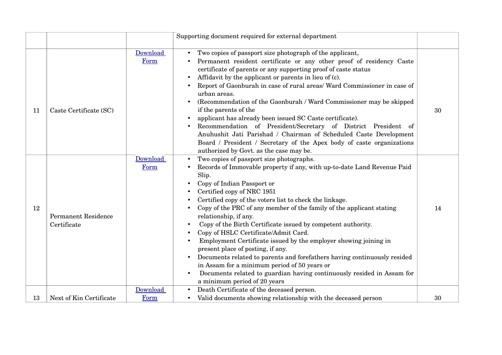|    |                                           |                  | Supporting document required for external department                                                                                                                                                                                                                                                                                                                                                                                                                                                                                                                                                                                                                                                                                                                                                                     |    |
|----|-------------------------------------------|------------------|--------------------------------------------------------------------------------------------------------------------------------------------------------------------------------------------------------------------------------------------------------------------------------------------------------------------------------------------------------------------------------------------------------------------------------------------------------------------------------------------------------------------------------------------------------------------------------------------------------------------------------------------------------------------------------------------------------------------------------------------------------------------------------------------------------------------------|----|
| 11 | Caste Certificate (SC)                    | Download<br>Form | Two copies of passport size photograph of the applicant,<br>Permanent resident certificate or any other proof of residency Caste<br>certificate of parents or any supporting proof of caste status<br>Affidavit by the applicant or parents in lieu of (c).<br>Report of Gaonburah in case of rural areas/ Ward Commissioner in case of<br>urban areas.<br>(Recommendation of the Gaonburah / Ward Commissioner may be skipped<br>if the parents of the<br>applicant has already been issued SC Caste certificate).<br>Recommendation of President/Secretary of District President of<br>Anuhushit Jati Parishad / Chairman of Scheduled Caste Development<br>Board / President / Secretary of the Apex body of caste organizations<br>authorized by Govt. as the case may be.                                           | 30 |
| 12 | <b>Permanent Residence</b><br>Certificate | Download<br>Form | Two copies of passport size photographs.<br>Records of Immovable property if any, with up-to-date Land Revenue Paid<br>Slip.<br>Copy of Indian Passport or<br>Certified copy of NRC 1951<br>Certified copy of the voters list to check the linkage.<br>Copy of the PRC of any member of the family of the applicant stating<br>relationship, if any.<br>Copy of the Birth Certificate issued by competent authority.<br>Copy of HSLC Certificate/Admit Card.<br>Employment Certificate issued by the employer showing joining in<br>present place of posting, if any.<br>Documents related to parents and forefathers having continuously resided<br>$\bullet$<br>in Assam for a minimum period of 50 years or<br>Documents related to guardian having continuously resided in Assam for<br>a minimum period of 20 years | 14 |
| 13 | Next of Kin Certificate                   | Download<br>Form | Death Certificate of the deceased person.<br>Valid documents showing relationship with the deceased person                                                                                                                                                                                                                                                                                                                                                                                                                                                                                                                                                                                                                                                                                                               | 30 |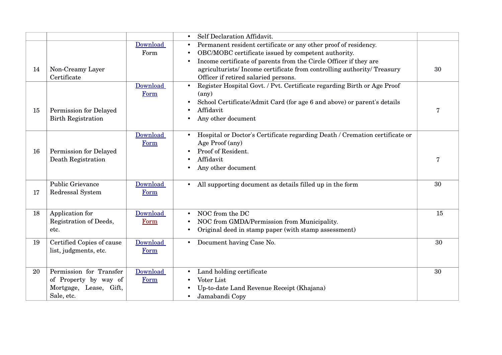|    |                           |          | Self Declaration Affidavit.                                                          |                |
|----|---------------------------|----------|--------------------------------------------------------------------------------------|----------------|
|    |                           | Download | Permanent resident certificate or any other proof of residency.<br>٠                 |                |
|    |                           | Form     | OBC/MOBC certificate issued by competent authority.<br>$\bullet$                     |                |
|    |                           |          | Income certificate of parents from the Circle Officer if they are<br>$\bullet$       |                |
| 14 | Non-Creamy Layer          |          | agriculturists/Income certificate from controlling authority/Treasury                | 30             |
|    | Certificate               |          | Officer if retired salaried persons.                                                 |                |
|    |                           | Download | Register Hospital Govt. / Pvt. Certificate regarding Birth or Age Proof<br>$\bullet$ |                |
|    |                           | Form     | $(\text{any})$                                                                       |                |
|    |                           |          | School Certificate/Admit Card (for age 6 and above) or parent's details              |                |
| 15 | Permission for Delayed    |          | Affidavit                                                                            | $\overline{7}$ |
|    | <b>Birth Registration</b> |          | Any other document                                                                   |                |
|    |                           |          |                                                                                      |                |
|    |                           | Download | Hospital or Doctor's Certificate regarding Death / Cremation certificate or          |                |
|    |                           | Form     | Age Proof (any)                                                                      |                |
| 16 | Permission for Delayed    |          | Proof of Resident.                                                                   |                |
|    | Death Registration        |          | Affidavit                                                                            | 7              |
|    |                           |          | Any other document                                                                   |                |
|    |                           |          |                                                                                      |                |
|    | Public Grievance          | Download | All supporting document as details filled up in the form<br>$\bullet$                | 30             |
| 17 | Redressal System          | Form     |                                                                                      |                |
|    |                           |          |                                                                                      |                |
| 18 | Application for           | Download | NOC from the DC                                                                      | 15             |
|    | Registration of Deeds,    | Form     | $\bullet$<br>NOC from GMDA/Permission from Municipality.                             |                |
|    |                           |          |                                                                                      |                |
|    | etc.                      |          | Original deed in stamp paper (with stamp assessment)                                 |                |
| 19 | Certified Copies of cause | Download | Document having Case No.<br>$\bullet$                                                | 30             |
|    | list, judgments, etc.     | Form     |                                                                                      |                |
|    |                           |          |                                                                                      |                |
| 20 | Permission for Transfer   | Download | Land holding certificate                                                             | 30             |
|    | of Property by way of     | Form     | Voter List                                                                           |                |
|    | Mortgage, Lease, Gift,    |          |                                                                                      |                |
|    | Sale, etc.                |          | Up-to-date Land Revenue Receipt (Khajana)<br>Jamabandi Copy                          |                |
|    |                           |          | $\bullet$                                                                            |                |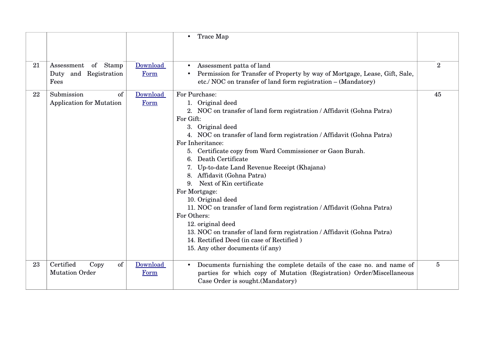|    |                                                         |                  | Trace Map<br>$\bullet$                                                                                                                                                                                                                                                                                                                                                                                                                                                                                                                                                                                                                                                                                                                                       |                |
|----|---------------------------------------------------------|------------------|--------------------------------------------------------------------------------------------------------------------------------------------------------------------------------------------------------------------------------------------------------------------------------------------------------------------------------------------------------------------------------------------------------------------------------------------------------------------------------------------------------------------------------------------------------------------------------------------------------------------------------------------------------------------------------------------------------------------------------------------------------------|----------------|
| 21 | of Stamp<br>Assessment<br>Duty and Registration<br>Fees | Download<br>Form | Assessment patta of land<br>$\bullet$<br>Permission for Transfer of Property by way of Mortgage, Lease, Gift, Sale,<br>etc./ NOC on transfer of land form registration - (Mandatory)                                                                                                                                                                                                                                                                                                                                                                                                                                                                                                                                                                         | $\overline{2}$ |
| 22 | Submission<br>of<br><b>Application for Mutation</b>     | Download<br>Form | For Purchase:<br>1. Original deed<br>2. NOC on transfer of land form registration / Affidavit (Gohna Patra)<br>For Gift:<br>3. Original deed<br>4. NOC on transfer of land form registration / Affidavit (Gohna Patra)<br>For Inheritance:<br>5. Certificate copy from Ward Commissioner or Gaon Burah.<br>Death Certificate<br>Up-to-date Land Revenue Receipt (Khajana)<br>Affidavit (Gohna Patra)<br>8.<br>Next of Kin certificate<br>9.<br>For Mortgage:<br>10. Original deed<br>11. NOC on transfer of land form registration / Affidavit (Gohna Patra)<br>For Others:<br>12. original deed<br>13. NOC on transfer of land form registration / Affidavit (Gohna Patra)<br>14. Rectified Deed (in case of Rectified)<br>15. Any other documents (if any) | 45             |
| 23 | Certified<br>of<br>Copy<br><b>Mutation Order</b>        | Download<br>Form | Documents furnishing the complete details of the case no. and name of<br>$\bullet$<br>parties for which copy of Mutation (Registration) Order/Miscellaneous<br>Case Order is sought. (Mandatory)                                                                                                                                                                                                                                                                                                                                                                                                                                                                                                                                                             | $\overline{5}$ |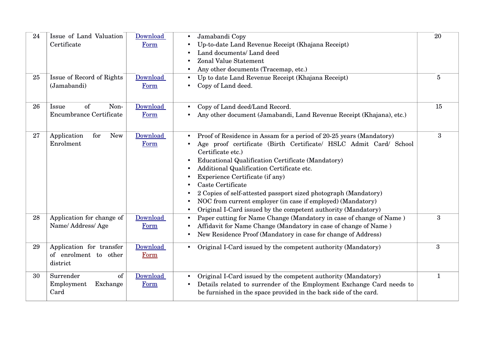| 24 | Issue of Land Valuation<br>Certificate                        | Download<br>Form | Jamabandi Copy<br>Up-to-date Land Revenue Receipt (Khajana Receipt)<br>Land documents/ Land deed<br>Zonal Value Statement<br>Any other documents (Tracemap, etc.)<br>$\bullet$                                                                                                                                                                                                                                                                                                                                                                                                      | 20               |
|----|---------------------------------------------------------------|------------------|-------------------------------------------------------------------------------------------------------------------------------------------------------------------------------------------------------------------------------------------------------------------------------------------------------------------------------------------------------------------------------------------------------------------------------------------------------------------------------------------------------------------------------------------------------------------------------------|------------------|
| 25 | Issue of Record of Rights<br>(Jamabandi)                      | Download<br>Form | Up to date Land Revenue Receipt (Khajana Receipt)<br>$\bullet$<br>Copy of Land deed.                                                                                                                                                                                                                                                                                                                                                                                                                                                                                                | $\overline{5}$   |
| 26 | of<br>Non-<br>Issue<br><b>Encumbrance Certificate</b>         | Download<br>Form | Copy of Land deed/Land Record.<br>$\bullet$<br>Any other document (Jamabandi, Land Revenue Receipt (Khajana), etc.)                                                                                                                                                                                                                                                                                                                                                                                                                                                                 | 15               |
| 27 | for<br><b>New</b><br>Application<br>Enrolment                 | Download<br>Form | Proof of Residence in Assam for a period of 20-25 years (Mandatory)<br>$\bullet$<br>Age proof certificate (Birth Certificate/ HSLC Admit Card/ School<br>Certificate etc.)<br>Educational Qualification Certificate (Mandatory)<br>Additional Qualification Certificate etc.<br>$\bullet$<br>Experience Certificate (if any)<br>٠<br>Caste Certificate<br>2 Copies of self-attested passport sized photograph (Mandatory)<br>NOC from current employer (in case if employed) (Mandatory)<br>$\bullet$<br>Original I-Card issued by the competent authority (Mandatory)<br>$\bullet$ | $\boldsymbol{3}$ |
| 28 | Application for change of<br>Name/Address/Age                 | Download<br>Form | Paper cutting for Name Change (Mandatory in case of change of Name)<br>$\bullet$<br>Affidavit for Name Change (Mandatory in case of change of Name)<br>New Residence Proof (Mandatory in case for change of Address)<br>$\bullet$                                                                                                                                                                                                                                                                                                                                                   | 3                |
| 29 | Application for transfer<br>of enrolment to other<br>district | Download<br>Form | Original I-Card issued by the competent authority (Mandatory)<br>$\bullet$                                                                                                                                                                                                                                                                                                                                                                                                                                                                                                          | $\overline{3}$   |
| 30 | Surrender<br>of<br>Employment<br>Exchange<br>Card             | Download<br>Form | Original I-Card issued by the competent authority (Mandatory)<br>$\bullet$<br>Details related to surrender of the Employment Exchange Card needs to<br>$\bullet$<br>be furnished in the space provided in the back side of the card.                                                                                                                                                                                                                                                                                                                                                | 1                |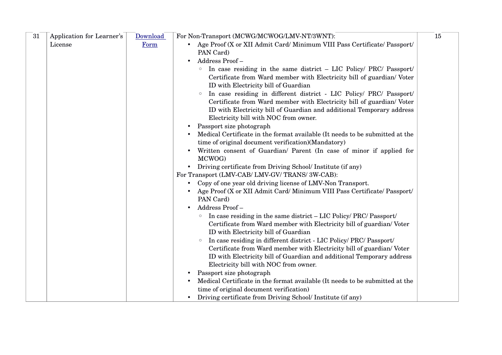| 31 | Application for Learner's | Download | For Non-Transport (MCWG/MCWOG/LMV-NT/3WNT):                                           | 15 |
|----|---------------------------|----------|---------------------------------------------------------------------------------------|----|
|    | License                   | Form     | • Age Proof (X or XII Admit Card/ Minimum VIII Pass Certificate/ Passport/            |    |
|    |                           |          | PAN Card)                                                                             |    |
|    |                           |          | Address Proof-                                                                        |    |
|    |                           |          | In case residing in the same district - LIC Policy/ PRC/ Passport/<br>$\circ$         |    |
|    |                           |          | Certificate from Ward member with Electricity bill of guardian/Voter                  |    |
|    |                           |          | ID with Electricity bill of Guardian                                                  |    |
|    |                           |          | In case residing in different district - LIC Policy/ PRC/ Passport/<br>$\circ$        |    |
|    |                           |          | Certificate from Ward member with Electricity bill of guardian/Voter                  |    |
|    |                           |          | ID with Electricity bill of Guardian and additional Temporary address                 |    |
|    |                           |          | Electricity bill with NOC from owner.                                                 |    |
|    |                           |          | Passport size photograph                                                              |    |
|    |                           |          | Medical Certificate in the format available (It needs to be submitted at the          |    |
|    |                           |          | time of original document verification)(Mandatory)                                    |    |
|    |                           |          | Written consent of Guardian/ Parent (In case of minor if applied for                  |    |
|    |                           |          | MCWOG)                                                                                |    |
|    |                           |          | • Driving certificate from Driving School/ Institute (if any)                         |    |
|    |                           |          | For Transport (LMV-CAB/ LMV-GV/ TRANS/ 3W-CAB):                                       |    |
|    |                           |          | • Copy of one year old driving license of LMV-Non Transport.                          |    |
|    |                           |          | Age Proof (X or XII Admit Card/ Minimum VIII Pass Certificate/ Passport/<br>PAN Card) |    |
|    |                           |          | Address Proof-                                                                        |    |
|    |                           |          | In case residing in the same district - LIC Policy/ PRC/ Passport/<br>$\circ$         |    |
|    |                           |          | Certificate from Ward member with Electricity bill of guardian/Voter                  |    |
|    |                           |          | ID with Electricity bill of Guardian                                                  |    |
|    |                           |          | In case residing in different district - LIC Policy/ PRC/ Passport/<br>$\circ$        |    |
|    |                           |          | Certificate from Ward member with Electricity bill of guardian/Voter                  |    |
|    |                           |          | ID with Electricity bill of Guardian and additional Temporary address                 |    |
|    |                           |          | Electricity bill with NOC from owner.                                                 |    |
|    |                           |          | Passport size photograph                                                              |    |
|    |                           |          | Medical Certificate in the format available (It needs to be submitted at the          |    |
|    |                           |          | time of original document verification)                                               |    |
|    |                           |          | • Driving certificate from Driving School/ Institute (if any)                         |    |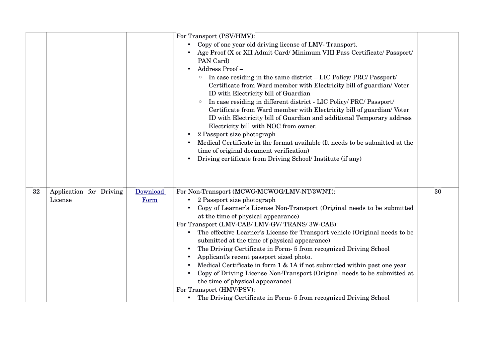|    |                                    |                  | For Transport (PSV/HMV):                                                                                                                                                                                                                                                                                                                                                                                                                                                                                                                                                                                                                                                               |    |
|----|------------------------------------|------------------|----------------------------------------------------------------------------------------------------------------------------------------------------------------------------------------------------------------------------------------------------------------------------------------------------------------------------------------------------------------------------------------------------------------------------------------------------------------------------------------------------------------------------------------------------------------------------------------------------------------------------------------------------------------------------------------|----|
|    |                                    |                  | • Copy of one year old driving license of LMV- Transport.                                                                                                                                                                                                                                                                                                                                                                                                                                                                                                                                                                                                                              |    |
|    |                                    |                  | Age Proof (X or XII Admit Card/ Minimum VIII Pass Certificate/ Passport/                                                                                                                                                                                                                                                                                                                                                                                                                                                                                                                                                                                                               |    |
|    |                                    |                  | PAN Card)                                                                                                                                                                                                                                                                                                                                                                                                                                                                                                                                                                                                                                                                              |    |
|    |                                    |                  | Address Proof-                                                                                                                                                                                                                                                                                                                                                                                                                                                                                                                                                                                                                                                                         |    |
|    |                                    |                  | In case residing in the same district – LIC Policy/ PRC/ Passport/<br>Certificate from Ward member with Electricity bill of guardian/Voter<br>ID with Electricity bill of Guardian<br>In case residing in different district - LIC Policy/ PRC/ Passport/<br>$\circ$<br>Certificate from Ward member with Electricity bill of guardian/Voter<br>ID with Electricity bill of Guardian and additional Temporary address<br>Electricity bill with NOC from owner.<br>2 Passport size photograph<br>Medical Certificate in the format available (It needs to be submitted at the<br>time of original document verification)<br>Driving certificate from Driving School/ Institute (if any) |    |
|    |                                    |                  |                                                                                                                                                                                                                                                                                                                                                                                                                                                                                                                                                                                                                                                                                        |    |
| 32 | Application for Driving<br>License | Download<br>Form | For Non-Transport (MCWG/MCWOG/LMV-NT/3WNT):<br>2 Passport size photograph<br>$\bullet$                                                                                                                                                                                                                                                                                                                                                                                                                                                                                                                                                                                                 | 30 |
|    |                                    |                  | Copy of Learner's License Non-Transport (Original needs to be submitted                                                                                                                                                                                                                                                                                                                                                                                                                                                                                                                                                                                                                |    |
|    |                                    |                  | at the time of physical appearance)<br>For Transport (LMV-CAB/ LMV-GV/ TRANS/ 3W-CAB):                                                                                                                                                                                                                                                                                                                                                                                                                                                                                                                                                                                                 |    |
|    |                                    |                  | The effective Learner's License for Transport vehicle (Original needs to be<br>$\bullet$<br>submitted at the time of physical appearance)                                                                                                                                                                                                                                                                                                                                                                                                                                                                                                                                              |    |
|    |                                    |                  | The Driving Certificate in Form- 5 from recognized Driving School                                                                                                                                                                                                                                                                                                                                                                                                                                                                                                                                                                                                                      |    |
|    |                                    |                  | Applicant's recent passport sized photo.                                                                                                                                                                                                                                                                                                                                                                                                                                                                                                                                                                                                                                               |    |
|    |                                    |                  | Medical Certificate in form $1 \& 1A$ if not submitted within past one year                                                                                                                                                                                                                                                                                                                                                                                                                                                                                                                                                                                                            |    |
|    |                                    |                  | Copy of Driving License Non-Transport (Original needs to be submitted at                                                                                                                                                                                                                                                                                                                                                                                                                                                                                                                                                                                                               |    |
|    |                                    |                  | the time of physical appearance)                                                                                                                                                                                                                                                                                                                                                                                                                                                                                                                                                                                                                                                       |    |
|    |                                    |                  | For Transport (HMV/PSV):                                                                                                                                                                                                                                                                                                                                                                                                                                                                                                                                                                                                                                                               |    |
|    |                                    |                  | • The Driving Certificate in Form- 5 from recognized Driving School                                                                                                                                                                                                                                                                                                                                                                                                                                                                                                                                                                                                                    |    |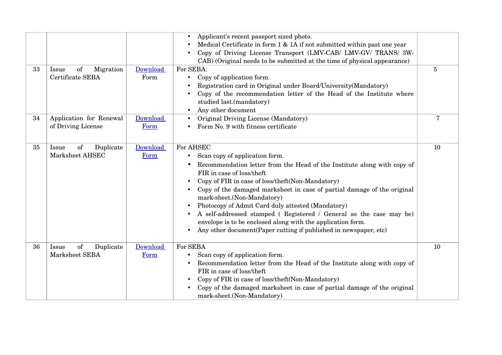|    |                                               |                  | Applicant's recent passport sized photo.<br>Medical Certificate in form 1 & 1A if not submitted within past one year<br>Copy of Driving License Transport (LMV-CAB/ LMV-GV/ TRANS/ 3W-<br>CAB) (Original needs to be submitted at the time of physical appearance)                                                                                                                                                                                                                                                                                                                                        |                |
|----|-----------------------------------------------|------------------|-----------------------------------------------------------------------------------------------------------------------------------------------------------------------------------------------------------------------------------------------------------------------------------------------------------------------------------------------------------------------------------------------------------------------------------------------------------------------------------------------------------------------------------------------------------------------------------------------------------|----------------|
| 33 | of<br>Migration<br>Issue<br>Certificate SEBA  | Download<br>Form | For SEBA:<br>Copy of application form.<br>Registration card in Original under Board/University(Mandatory)<br>Copy of the recommendation letter of the Head of the Institute where<br>studied last.(mandatory)<br>Any other document<br>$\bullet$                                                                                                                                                                                                                                                                                                                                                          | $\overline{5}$ |
| 34 | Application for Renewal<br>of Driving License | Download<br>Form | Original Driving License (Mandatory)<br>Form No. 9 with fitness certificate                                                                                                                                                                                                                                                                                                                                                                                                                                                                                                                               | 7              |
| 35 | Duplicate<br>Issue<br>of<br>Marksheet AHSEC   | Download<br>Form | For AHSEC<br>Scan copy of application form.<br>$\bullet$<br>Recommendation letter from the Head of the Institute along with copy of<br>FIR in case of loss/theft<br>Copy of FIR in case of loss/theft(Non-Mandatory)<br>Copy of the damaged marksheet in case of partial damage of the original<br>mark-sheet.(Non-Mandatory)<br>Photocopy of Admit Card duly attested (Mandatory)<br>A self-addressed stamped (Registered / General as the case may be)<br>envelope is to be enclosed along with the application form.<br>Any other document (Paper cutting if published in newspaper, etc)<br>$\bullet$ | 10             |
| 36 | Duplicate<br>Issue<br>of<br>Marksheet SEBA    | Download<br>Form | For SEBA<br>Scan copy of application form.<br>$\bullet$<br>Recommendation letter from the Head of the Institute along with copy of<br>FIR in case of loss/theft<br>Copy of FIR in case of loss/theft(Non-Mandatory)<br>Copy of the damaged marksheet in case of partial damage of the original<br>mark-sheet.(Non-Mandatory)                                                                                                                                                                                                                                                                              | 10             |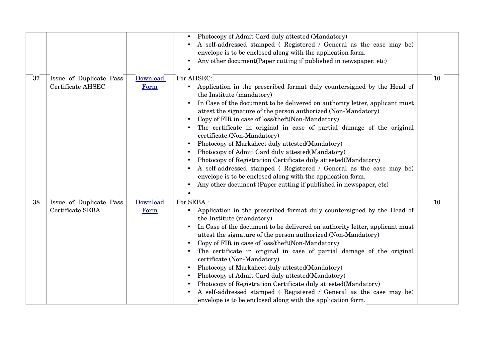|    |                                              |                  | Photocopy of Admit Card duly attested (Mandatory)<br>A self-addressed stamped (Registered / General as the case may be)<br>envelope is to be enclosed along with the application form.<br>Any other document (Paper cutting if published in newspaper, etc)                                                                                                                                                                                                                                                                                                                                                                                                                                                                                                                                                                                   |    |
|----|----------------------------------------------|------------------|-----------------------------------------------------------------------------------------------------------------------------------------------------------------------------------------------------------------------------------------------------------------------------------------------------------------------------------------------------------------------------------------------------------------------------------------------------------------------------------------------------------------------------------------------------------------------------------------------------------------------------------------------------------------------------------------------------------------------------------------------------------------------------------------------------------------------------------------------|----|
| 37 | Issue of Duplicate Pass<br>Certificate AHSEC | Download<br>Form | For AHSEC:<br>Application in the prescribed format duly countersigned by the Head of<br>$\bullet$<br>the Institute (mandatory)<br>In Case of the document to be delivered on authority letter, applicant must<br>$\bullet$<br>attest the signature of the person authorized.(Non-Mandatory)<br>Copy of FIR in case of loss/theft(Non-Mandatory)<br>The certificate in original in case of partial damage of the original<br>certificate.(Non-Mandatory)<br>Photocopy of Marksheet duly attested (Mandatory)<br>Photocopy of Admit Card duly attested (Mandatory)<br>Photocopy of Registration Certificate duly attested (Mandatory)<br>A self-addressed stamped (Registered / General as the case may be)<br>envelope is to be enclosed along with the application form.<br>Any other document (Paper cutting if published in newspaper, etc) | 10 |
| 38 | Issue of Duplicate Pass<br>Certificate SEBA  | Download<br>Form | For SEBA:<br>Application in the prescribed format duly countersigned by the Head of<br>$\bullet$<br>the Institute (mandatory)<br>In Case of the document to be delivered on authority letter, applicant must<br>$\bullet$<br>attest the signature of the person authorized.(Non-Mandatory)<br>Copy of FIR in case of loss/theft(Non-Mandatory)<br>The certificate in original in case of partial damage of the original<br>certificate.(Non-Mandatory)<br>Photocopy of Marksheet duly attested(Mandatory)<br>Photocopy of Admit Card duly attested (Mandatory)<br>Photocopy of Registration Certificate duly attested(Mandatory)<br>A self-addressed stamped (Registered / General as the case may be)<br>envelope is to be enclosed along with the application form.                                                                         | 10 |